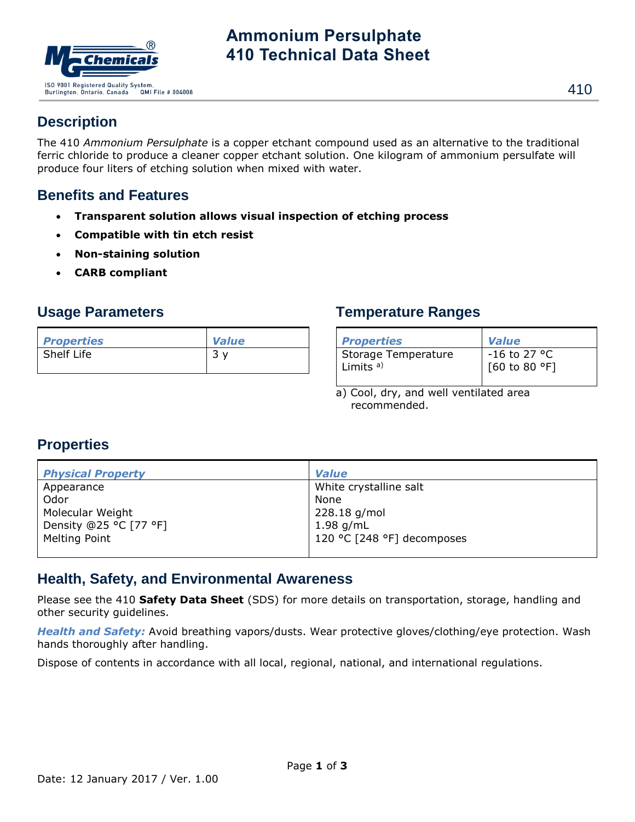

# **Ammonium Persulphate 410 Technical Data Sheet**

# **Description**

The 410 *Ammonium Persulphate* is a copper etchant compound used as an alternative to the traditional ferric chloride to produce a cleaner copper etchant solution. One kilogram of ammonium persulfate will produce four liters of etching solution when mixed with water.

# **Benefits and Features**

- **Transparent solution allows visual inspection of etching process**
- **Compatible with tin etch resist**
- **Non-staining solution**
- **CARB compliant**

#### **Usage Parameters**

| <b>Properties</b> | <b>Value</b> |
|-------------------|--------------|
| Shelf Life        |              |

## **Temperature Ranges**

| <b>Properties</b>    | <b>Value</b>   |
|----------------------|----------------|
| Storage Temperature  | $-16$ to 27 °C |
| Limits <sup>a)</sup> | [60 to 80 °F]  |

a) Cool, dry, and well ventilated area recommended.

# **Properties**

| <b>Physical Property</b> | <b>Value</b>               |
|--------------------------|----------------------------|
| Appearance               | White crystalline salt     |
| Odor                     | None                       |
| Molecular Weight         | 228.18 g/mol               |
| Density @25 °C [77 °F]   | $1.98$ g/mL                |
| Melting Point            | 120 °C [248 °F] decomposes |
|                          |                            |

## **Health, Safety, and Environmental Awareness**

Please see the 410 **Safety Data Sheet** (SDS) for more details on transportation, storage, handling and other security guidelines.

*Health and Safety:* Avoid breathing vapors/dusts. Wear protective gloves/clothing/eye protection. Wash hands thoroughly after handling.

Dispose of contents in accordance with all local, regional, national, and international regulations.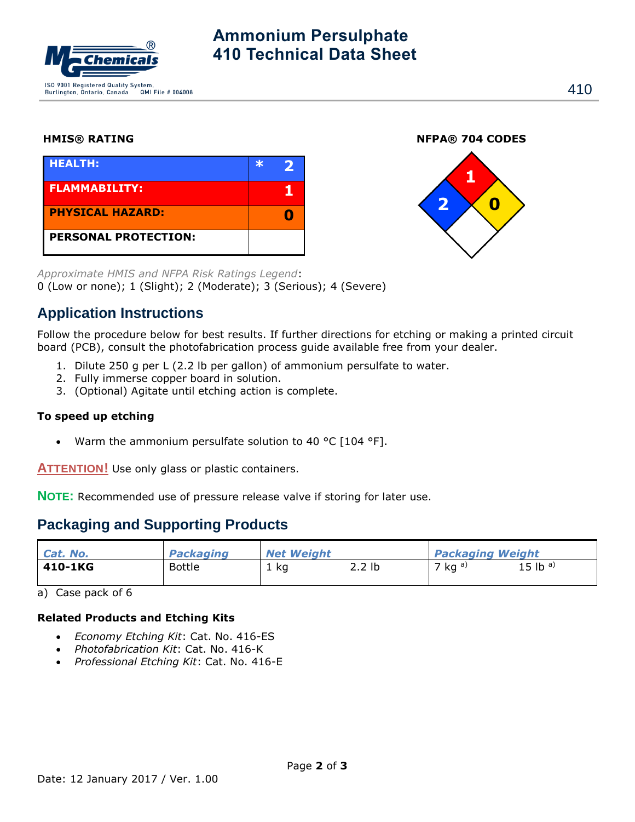

# **Ammonium Persulphate 410 Technical Data Sheet**

| <b>HEALTH:</b>              |  |
|-----------------------------|--|
| <b>FLAMMABILITY:</b>        |  |
| <b>PHYSICAL HAZARD:</b>     |  |
| <b>PERSONAL PROTECTION:</b> |  |

**HMIS® RATING NFPA® 704 CODES**



*Approximate HMIS and NFPA Risk Ratings Legend*: 0 (Low or none); 1 (Slight); 2 (Moderate); 3 (Serious); 4 (Severe)

## **Application Instructions**

Follow the procedure below for best results. If further directions for etching or making a printed circuit board (PCB), consult the photofabrication process guide available free from your dealer.

- 1. Dilute 250 g per L (2.2 lb per gallon) of ammonium persulfate to water.
- 2. Fully immerse copper board in solution.
- 3. (Optional) Agitate until etching action is complete.

#### **To speed up etching**

Warm the ammonium persulfate solution to 40 °C [104 °F].

**ATTENTION!** Use only glass or plastic containers.

**NOTE:** Recommended use of pressure release valve if storing for later use.

## **Packaging and Supporting Products**

| Cat. No. | <b>Packaging</b> | <b>Net Weight</b> |        | <b>Packaging Weight</b> |                       |
|----------|------------------|-------------------|--------|-------------------------|-----------------------|
| 410-1KG  | <b>Bottle</b>    | 1 ka              | 2.2 lb | 7 kg $a)$               | $15 lb$ <sup>a)</sup> |

a) Case pack of 6

#### **Related Products and Etching Kits**

- *Economy Etching Kit*: Cat. No. 416-ES
- *Photofabrication Kit*: Cat. No. 416-K
- *Professional Etching Kit*: Cat. No. 416-E